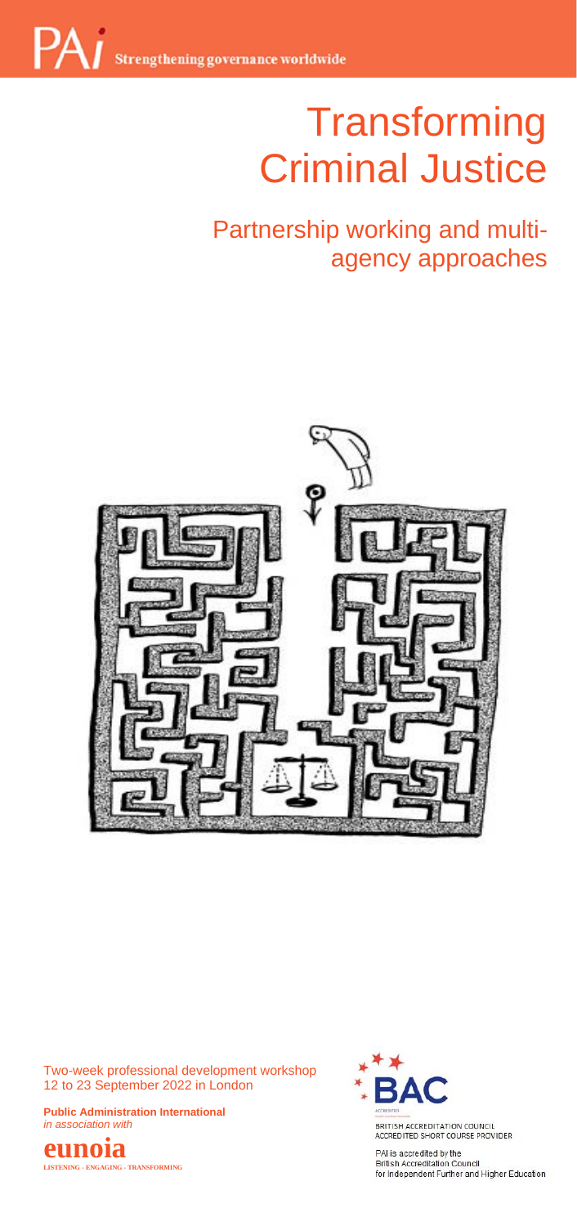# **Transforming** Criminal Justice

## Partnership working and multi-<br>agency approaches agency approaches



Two-week professional development workshop 12 to 23 September 2022 in London

**Public Administration International**  *in association with*





BRITISH ACCREDITATION COUNCIL<br>ACCREDITED SHORT COURSE PROVIDER

PAI is accredited by the **British Accreditation Council**<br>for Independent Further and Higher Education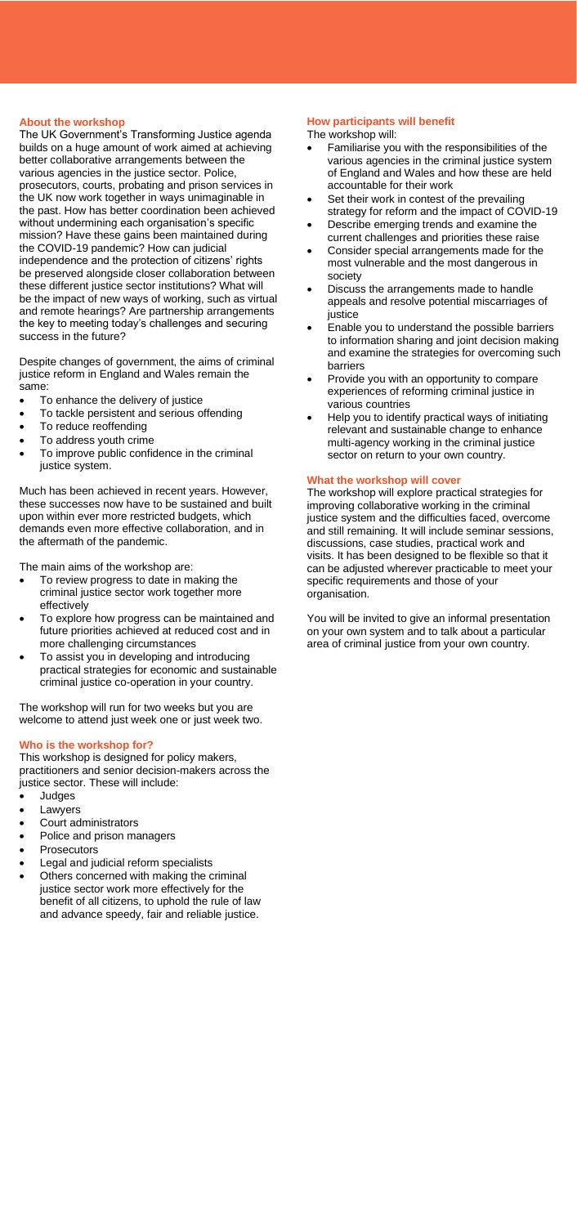<mark>About the workshop</mark><br>The UK Government's Transforming Justice agenda The work builds on a huge amount of work aimed at achieving better collaborative arrangements between the various agencies in the justice sector. Police, prosecutors, courts, probating and prison services in the UK now work together in ways unimaginable in the past. How has better coordination been achieved without undermining each organisation's specific mission? Have these gains been maintained during the COVID-19 pandemic? How can judicial independence and the protection of citizens' rights be preserved alongside closer collaboration between these different justice sector institutions? What will be the impact of new ways of working, such as virtual and remote hearings? Are partnership arrangements the key to meeting today's challenges and securing success in the future?

Despite changes of government, the aims of criminal justice reform in England and Wales remain the same:

- To enhance the delivery of justice
- To tackle persistent and serious offending
- To reduce reoffending
- To address youth crime
- To improve public confidence in the criminal justice system.

Much has been achieved in recent years. However, these successes now have to be sustained and built upon within ever more restricted budgets, which demands even more effective collaboration, and in the aftermath of the pandemic.

The main aims of the workshop are:

- To review progress to date in making the criminal justice sector work together more effectively
- To explore how progress can be maintained and future priorities achieved at reduced cost and in more challenging circumstances
- To assist you in developing and introducing practical strategies for economic and sustainable criminal justice co-operation in your country.

The workshop will run for two weeks but you are welcome to attend just week one or just week two.

#### **Who is the workshop for?**

This workshop is designed for policy makers, practitioners and senior decision-makers across the justice sector. These will include:

- **Judges**
- **Lawyers**
- Court administrators
- Police and prison managers
- **Prosecutors**
- Legal and judicial reform specialists
- Others concerned with making the criminal justice sector work more effectively for the benefit of all citizens, to uphold the rule of law and advance speedy, fair and reliable justice.

### **How participants will benefit**

The workshop will:

- Familiarise you with the responsibilities of the various agencies in the criminal justice system of England and Wales and how these are held accountable for their work
- Set their work in contest of the prevailing strategy for reform and the impact of COVID-19
- Describe emerging trends and examine the current challenges and priorities these raise
- Consider special arrangements made for the most vulnerable and the most dangerous in society
- Discuss the arrangements made to handle appeals and resolve potential miscarriages of justice
- Enable you to understand the possible barriers to information sharing and joint decision making and examine the strategies for overcoming such barriers
- Provide you with an opportunity to compare experiences of reforming criminal justice in various countries
- Help you to identify practical ways of initiating relevant and sustainable change to enhance multi-agency working in the criminal justice sector on return to your own country.

#### **What the workshop will cover**

The workshop will explore practical strategies for improving collaborative working in the criminal justice system and the difficulties faced, overcome and still remaining. It will include seminar sessions, discussions, case studies, practical work and visits. It has been designed to be flexible so that it can be adjusted wherever practicable to meet your specific requirements and those of your organisation.

You will be invited to give an informal presentation on your own system and to talk about a particular area of criminal justice from your own country.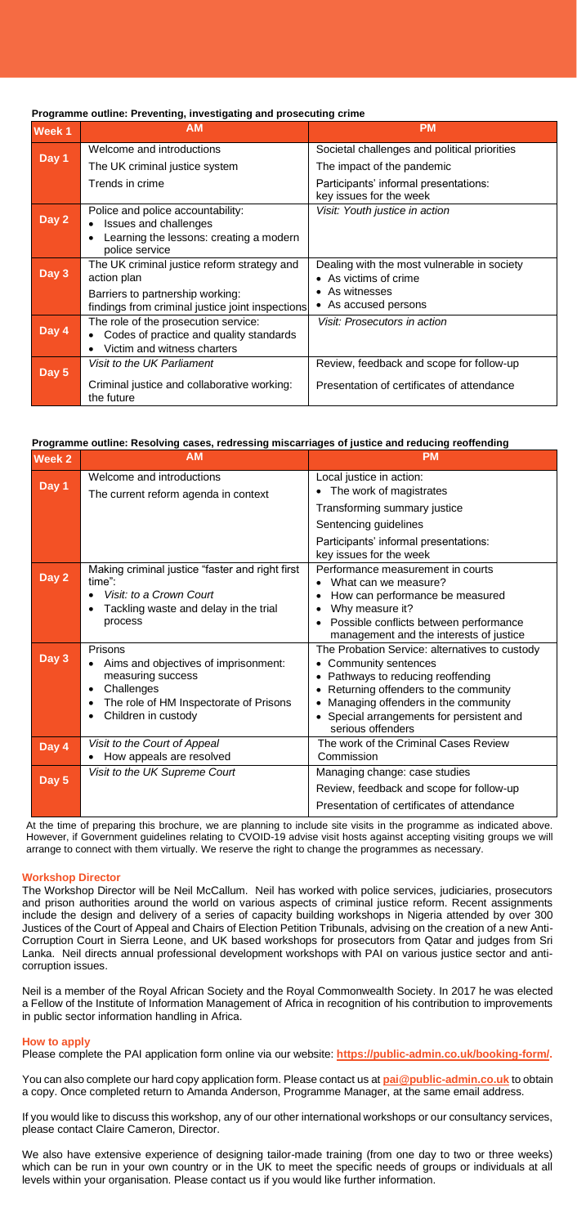#### **Programme outline: Preventing, investigating and prosecuting crime**

| Week <sub>1</sub> | <b>AM</b>                                                                                                               | <b>PM</b>                                                            |
|-------------------|-------------------------------------------------------------------------------------------------------------------------|----------------------------------------------------------------------|
| Day 1             | Welcome and introductions                                                                                               | Societal challenges and political priorities                         |
|                   | The UK criminal justice system                                                                                          | The impact of the pandemic                                           |
|                   | Trends in crime                                                                                                         | Participants' informal presentations:<br>key issues for the week     |
| Day 2             | Police and police accountability:<br>Issues and challenges<br>Learning the lessons: creating a modern<br>police service | Visit: Youth justice in action                                       |
| Day 3             | The UK criminal justice reform strategy and<br>action plan                                                              | Dealing with the most vulnerable in society<br>• As victims of crime |
|                   | Barriers to partnership working:<br>findings from criminal justice joint inspections                                    | • As witnesses<br>• As accused persons                               |
| Day 4             | The role of the prosecution service:<br>Codes of practice and quality standards<br>Victim and witness charters          | Visit: Prosecutors in action                                         |
| Day 5             | Visit to the UK Parliament                                                                                              | Review, feedback and scope for follow-up                             |
|                   | Criminal justice and collaborative working:<br>the future                                                               | Presentation of certificates of attendance                           |

#### **Programme outline: Resolving cases, redressing miscarriages of justice and reducing reoffending**

| Week 2  | <b>AM</b>                                                                                                                                           | <b>PM</b>                                                                                                                                                                                                                                                    |
|---------|-----------------------------------------------------------------------------------------------------------------------------------------------------|--------------------------------------------------------------------------------------------------------------------------------------------------------------------------------------------------------------------------------------------------------------|
| Day 1   | Welcome and introductions<br>The current reform agenda in context                                                                                   | Local justice in action:<br>The work of magistrates<br>Transforming summary justice                                                                                                                                                                          |
|         |                                                                                                                                                     | Sentencing guidelines                                                                                                                                                                                                                                        |
|         |                                                                                                                                                     | Participants' informal presentations:<br>key issues for the week                                                                                                                                                                                             |
| Day $2$ | Making criminal justice "faster and right first<br>time":<br>Visit: to a Crown Court<br>Tackling waste and delay in the trial<br>process            | Performance measurement in courts<br>What can we measure?<br>How can performance be measured<br>Why measure it?<br>Possible conflicts between performance<br>management and the interests of justice                                                         |
| Day 3   | Prisons<br>Aims and objectives of imprisonment:<br>measuring success<br>Challenges<br>The role of HM Inspectorate of Prisons<br>Children in custody | The Probation Service: alternatives to custody<br>Community sentences<br>• Pathways to reducing reoffending<br>Returning offenders to the community<br>Managing offenders in the community<br>• Special arrangements for persistent and<br>serious offenders |
| Day 4   | Visit to the Court of Appeal<br>How appeals are resolved                                                                                            | The work of the Criminal Cases Review<br>Commission                                                                                                                                                                                                          |
| Day 5   | Visit to the UK Supreme Court                                                                                                                       | Managing change: case studies<br>Review, feedback and scope for follow-up<br>Presentation of certificates of attendance                                                                                                                                      |

At the time of preparing this brochure, we are planning to include site visits in the programme as indicated above. However, if Government guidelines relating to CVOID-19 advise visit hosts against accepting visiting groups we will arrange to connect with them virtually. We reserve the right to change the programmes as necessary.

#### **Workshop Director**

The Workshop Director will be Neil McCallum. Neil has worked with police services, judiciaries, prosecutors and prison authorities around the world on various aspects of criminal justice reform. Recent assignments include the design and delivery of a series of capacity building workshops in Nigeria attended by over 300 Justices of the Court of Appeal and Chairs of Election Petition Tribunals, advising on the creation of a new Anti-Corruption Court in Sierra Leone, and UK based workshops for prosecutors from Qatar and judges from Sri Lanka. Neil directs annual professional development workshops with PAI on various justice sector and anticorruption issues.

Neil is a member of the Royal African Society and the Royal Commonwealth Society. In 2017 he was elected a Fellow of the Institute of Information Management of Africa in recognition of his contribution to improvements in public sector information handling in Africa.

#### **How to apply**

Please complete the PAI application form online via our website: **https://public-admin.co.uk/booking-form/.** 

You can also complete our hard copy application form. Please contact us at **[pai@public-admin.co.uk](mailto:pai@public-admin.co.uk)** to obtain a copy. Once completed return to Amanda Anderson, Programme Manager, at the same email address.

If you would like to discuss this workshop, any of our other international workshops or our consultancy services, please contact Claire Cameron, Director.

We also have extensive experience of designing tailor-made training (from one day to two or three weeks) which can be run in your own country or in the UK to meet the specific needs of groups or individuals at all levels within your organisation. Please contact us if you would like further information.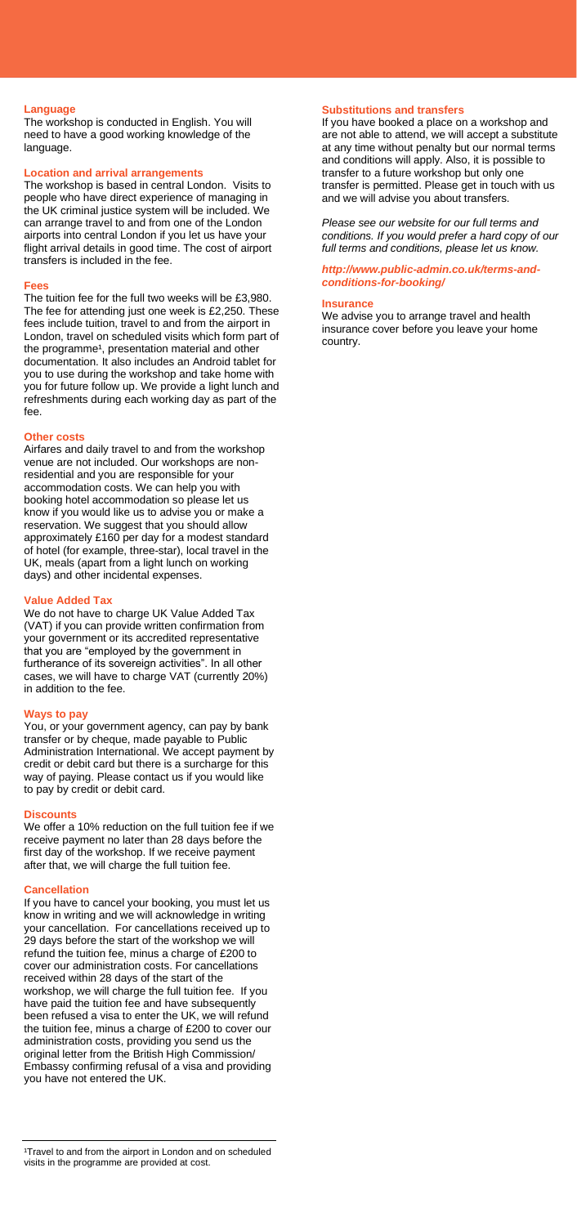#### **Language**

The workshop is conducted in English. You will need to have a good working knowledge of the language.

#### **Location and arrival arrangements**

The workshop is based in central London. Visits to people who have direct experience of managing in the UK criminal justice system will be included. We can arrange travel to and from one of the London airports into central London if you let us have your flight arrival details in good time. The cost of airport transfers is included in the fee.

#### **Fees**

The tuition fee for the full two weeks will be £3,980. The fee for attending just one week is £2,250. These fees include tuition, travel to and from the airport in London, travel on scheduled visits which form part of the programme<sup>1</sup>, presentation material and other documentation. It also includes an Android tablet for you to use during the workshop and take home with you for future follow up. We provide a light lunch and refreshments during each working day as part of the fee.

#### **Other costs**

Airfares and daily travel to and from the workshop venue are not included. Our workshops are nonresidential and you are responsible for your accommodation costs. We can help you with booking hotel accommodation so please let us know if you would like us to advise you or make a reservation. We suggest that you should allow approximately £160 per day for a modest standard of hotel (for example, three-star), local travel in the UK, meals (apart from a light lunch on working days) and other incidental expenses.

#### **Value Added Tax**

We do not have to charge UK Value Added Tax (VAT) if you can provide written confirmation from your government or its accredited representative that you are "employed by the government in furtherance of its sovereign activities". In all other cases, we will have to charge VAT (currently 20%) in addition to the fee.

#### **Ways to pay**

You, or your government agency, can pay by bank transfer or by cheque, made payable to Public Administration International. We accept payment by credit or debit card but there is a surcharge for this way of paying. Please contact us if you would like to pay by credit or debit card.

#### **Discounts**

We offer a 10% reduction on the full tuition fee if we receive payment no later than 28 days before the first day of the workshop. If we receive payment after that, we will charge the full tuition fee.

#### **Cancellation**

If you have to cancel your booking, you must let us know in writing and we will acknowledge in writing your cancellation. For cancellations received up to 29 days before the start of the workshop we will refund the tuition fee, minus a charge of £200 to cover our administration costs. For cancellations received within 28 days of the start of the workshop, we will charge the full tuition fee. If you have paid the tuition fee and have subsequently been refused a visa to enter the UK, we will refund the tuition fee, minus a charge of £200 to cover our administration costs, providing you send us the original letter from the British High Commission/ Embassy confirming refusal of a visa and providing you have not entered the UK.

#### **Substitutions and transfers**

If you have booked a place on a workshop and are not able to attend, we will accept a substitute at any time without penalty but our normal terms and conditions will apply. Also, it is possible to transfer to a future workshop but only one transfer is permitted. Please get in touch with us and we will advise you about transfers.

*Please see our website for our full terms and conditions. If you would prefer a hard copy of our full terms and conditions, please let us know.* 

#### *[http://www.public-admin.co.uk/terms-and](http://www.public-admin.co.uk/terms-and-conditions-for-booking/)[conditions-for-booking/](http://www.public-admin.co.uk/terms-and-conditions-for-booking/)*

#### **Insurance**

We advise you to arrange travel and health insurance cover before you leave your home country.

<sup>1</sup>Travel to and from the airport in London and on scheduled visits in the programme are provided at cost.